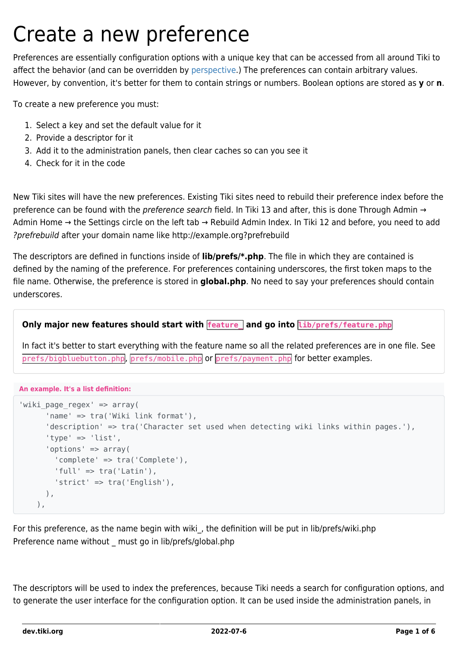# Create a new preference

Preferences are essentially configuration options with a unique key that can be accessed from all around Tiki to affect the behavior (and can be overridden by [perspective.](http://doc.tiki.org/perspective)) The preferences can contain arbitrary values. However, by convention, it's better for them to contain strings or numbers. Boolean options are stored as **y** or **n**.

To create a new preference you must:

- 1. Select a key and set the default value for it
- 2. Provide a descriptor for it
- 3. Add it to the administration panels, then clear caches so can you see it
- 4. Check for it in the code

New Tiki sites will have the new preferences. Existing Tiki sites need to rebuild their preference index before the preference can be found with the *preference search* field. In Tiki 13 and after, this is done Through Admin → Admin Home → the Settings circle on the left tab → Rebuild Admin Index. In Tiki 12 and before, you need to add ?prefrebuild after your domain name like http://example.org?prefrebuild

The descriptors are defined in functions inside of **lib/prefs/\*.php**. The file in which they are contained is defined by the naming of the preference. For preferences containing underscores, the first token maps to the file name. Otherwise, the preference is stored in **global.php**. No need to say your preferences should contain underscores.

#### **Only major new features should start with feature\_ and go into lib/prefs/feature.php**

In fact it's better to start everything with the feature name so all the related preferences are in one file. See prefs/bigbluebutton.php, prefs/mobile.php or prefs/payment.php for better examples.

#### **An example. It's a list definition:**

```
'wiki page regex' => array(
       'name' => tra('Wiki link format'),
       'description' => tra('Character set used when detecting wiki links within pages.'),
      'type' \Rightarrow 'list',
       'options' => array(
         'complete' => tra('Complete'),
        'tull' \Rightarrow tra('Latin'), 'strict' => tra('English'),
       ),
     ),
```
For this preference, as the name begin with wiki, the definition will be put in lib/prefs/wiki.php Preference name without must go in lib/prefs/global.php

The descriptors will be used to index the preferences, because Tiki needs a search for configuration options, and to generate the user interface for the configuration option. It can be used inside the administration panels, in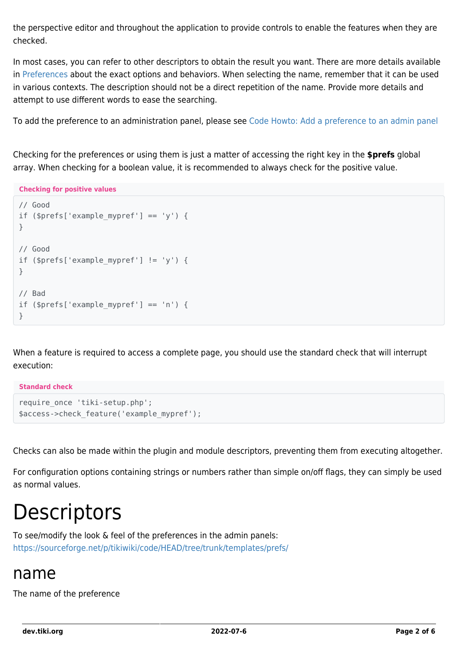the perspective editor and throughout the application to provide controls to enable the features when they are checked.

In most cases, you can refer to other descriptors to obtain the result you want. There are more details available in [Preferences](https://dev.tiki.org/Preferences) about the exact options and behaviors. When selecting the name, remember that it can be used in various contexts. The description should not be a direct repetition of the name. Provide more details and attempt to use different words to ease the searching.

To add the preference to an administration panel, please see [Code Howto: Add a preference to an admin panel](https://dev.tiki.org/Code-Howto%3A-Add-a-preference-to-an-admin-panel)

Checking for the preferences or using them is just a matter of accessing the right key in the **\$prefs** global array. When checking for a boolean value, it is recommended to always check for the positive value.

**Checking for positive values**

```
// Good
if (s^{prefs['example" mvref'] == 'v') {
}
// Good
if ($prefs['example mypref'] != 'y') {
}
// Bad
if (sprefs['examplemypref'] == 'n') {
}
```
When a feature is required to access a complete page, you should use the standard check that will interrupt execution:

**Standard check**

```
require once 'tiki-setup.php';
$access->check_feature('example_mypref');
```
Checks can also be made within the plugin and module descriptors, preventing them from executing altogether.

For configuration options containing strings or numbers rather than simple on/off flags, they can simply be used as normal values.

# **Descriptors**

To see/modify the look & feel of the preferences in the admin panels: <https://sourceforge.net/p/tikiwiki/code/HEAD/tree/trunk/templates/prefs/>

#### name

The name of the preference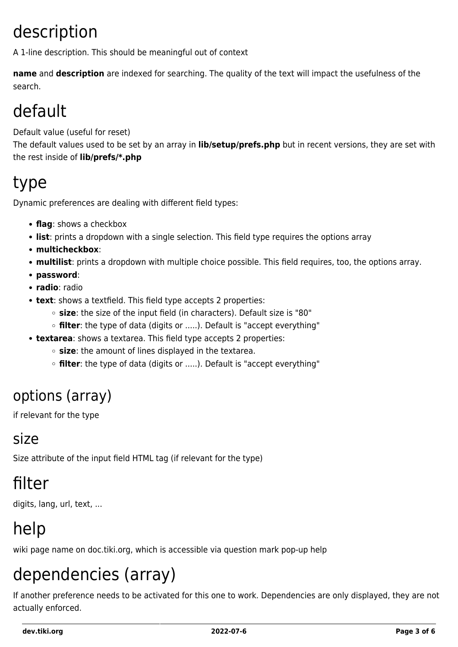### description

A 1-line description. This should be meaningful out of context

**name** and **description** are indexed for searching. The quality of the text will impact the usefulness of the search.

### default

Default value (useful for reset)

The default values used to be set by an array in **lib/setup/prefs.php** but in recent versions, they are set with the rest inside of **lib/prefs/\*.php**

### type

Dynamic preferences are dealing with different field types:

- **flag**: shows a checkbox
- **list**: prints a dropdown with a single selection. This field type requires the options array
- **multicheckbox**:
- **multilist**: prints a dropdown with multiple choice possible. This field requires, too, the options array.
- **password**:
- **radio**: radio
- **text**: shows a textfield. This field type accepts 2 properties:
	- **size**: the size of the input field (in characters). Default size is "80"
	- **filter**: the type of data (digits or .....). Default is "accept everything"
- **textarea**: shows a textarea. This field type accepts 2 properties:
	- **size**: the amount of lines displayed in the textarea.
	- **filter**: the type of data (digits or .....). Default is "accept everything"

#### options (array)

if relevant for the type

#### size

Size attribute of the input field HTML tag (if relevant for the type)

### filter

digits, lang, url, text, ...

### help

wiki page name on doc.tiki.org, which is accessible via question mark pop-up help

### dependencies (array)

If another preference needs to be activated for this one to work. Dependencies are only displayed, they are not actually enforced.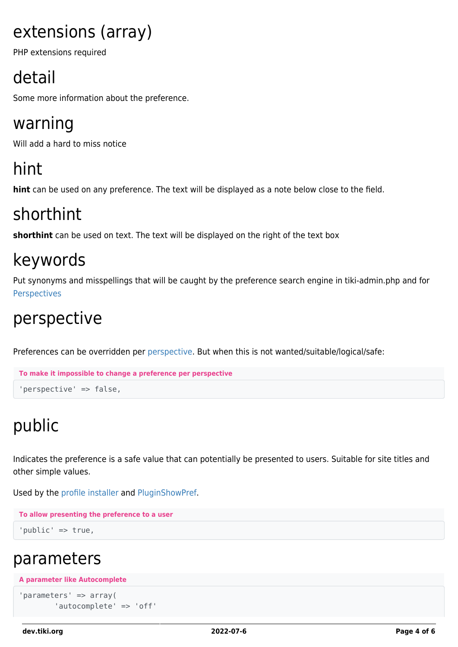### extensions (array)

PHP extensions required

## detail

Some more information about the preference.

### warning

Will add a hard to miss notice

### hint

**hint** can be used on any preference. The text will be displayed as a note below close to the field.

### shorthint

**shorthint** can be used on text. The text will be displayed on the right of the text box

### keywords

Put synonyms and misspellings that will be caught by the preference search engine in tiki-admin.php and for **[Perspectives](http://doc.tiki.org/Perspectives)** 

### perspective

Preferences can be overridden per [perspective](https://dev.tiki.org/Perspective). But when this is not wanted/suitable/logical/safe:

```
To make it impossible to change a preference per perspective
'perspective' => false,
```
## public

Indicates the preference is a safe value that can potentially be presented to users. Suitable for site titles and other simple values.

Used by the [profile installer](http://profiles.tiki.org/Preference%20Management) and [PluginShowPref.](http://doc.tiki.org/PluginShowPref)

```
To allow presenting the preference to a user
```

```
'public' => true,
```
#### parameters

```
A parameter like Autocomplete
```

```
'parameters' => array(
         'autocomplete' => 'off'
```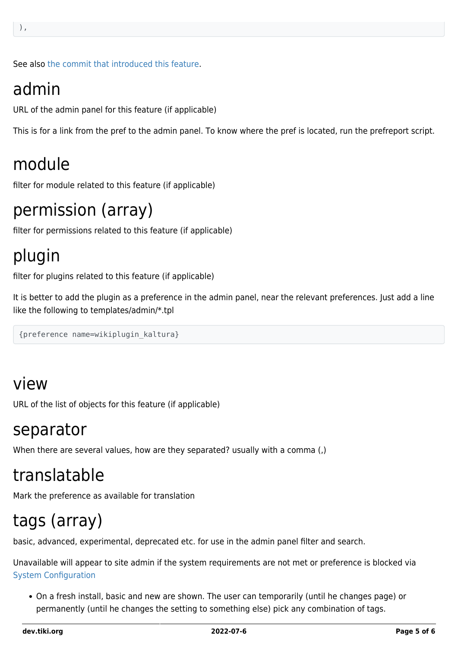See also [the commit that introduced this feature.](http://tikiwiki.svn.sourceforge.net/tikiwiki/?rev=33546&view=rev)

#### admin

URL of the admin panel for this feature (if applicable)

This is for a link from the pref to the admin panel. To know where the pref is located, run the prefreport script.

#### module

filter for module related to this feature (if applicable)

#### permission (array)

filter for permissions related to this feature (if applicable)

### plugin

filter for plugins related to this feature (if applicable)

It is better to add the plugin as a preference in the admin panel, near the relevant preferences. Just add a line like the following to templates/admin/\*.tpl

{preference name=wikiplugin\_kaltura}

#### view

URL of the list of objects for this feature (if applicable)

#### separator

When there are several values, how are they separated? usually with a comma (,)

#### translatable

Mark the preference as available for translation

#### tags (array)

basic, advanced, experimental, deprecated etc. for use in the admin panel filter and search.

Unavailable will appear to site admin if the system requirements are not met or preference is blocked via [System Configuration](http://doc.tiki.org/System%20Configuration)

On a fresh install, basic and new are shown. The user can temporarily (until he changes page) or permanently (until he changes the setting to something else) pick any combination of tags.